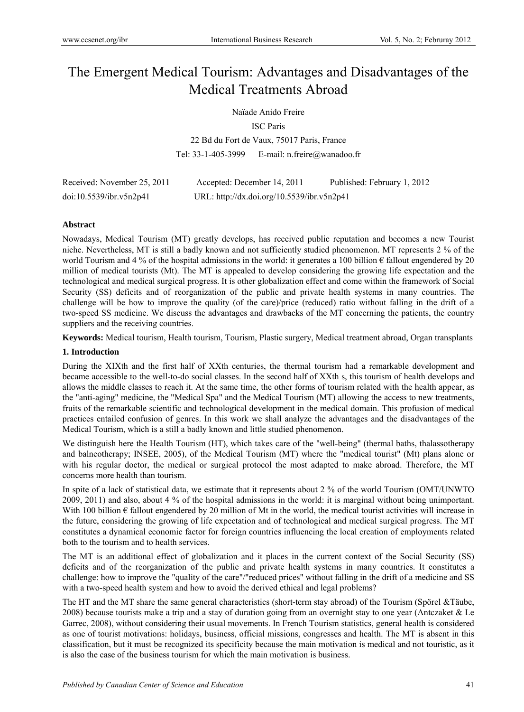# The Emergent Medical Tourism: Advantages and Disadvantages of the Medical Treatments Abroad

Naïade Anido Freire

ISC Paris

22 Bd du Fort de Vaux, 75017 Paris, France Tel: 33-1-405-3999 E-mail: n.freire@wanadoo.fr

| Received: November 25, 2011 | Accepted: December 14, 2011                | Published: February 1, 2012 |
|-----------------------------|--------------------------------------------|-----------------------------|
| doi:10.5539/ibr.v5n2p41     | URL: http://dx.doi.org/10.5539/ibr.v5n2p41 |                             |

## **Abstract**

Nowadays, Medical Tourism (MT) greatly develops, has received public reputation and becomes a new Tourist niche. Nevertheless, MT is still a badly known and not sufficiently studied phenomenon. MT represents 2 % of the world Tourism and 4 % of the hospital admissions in the world: it generates a 100 billion  $\epsilon$  fallout engendered by 20 million of medical tourists (Mt). The MT is appealed to develop considering the growing life expectation and the technological and medical surgical progress. It is other globalization effect and come within the framework of Social Security (SS) deficits and of reorganization of the public and private health systems in many countries. The challenge will be how to improve the quality (of the care)/price (reduced) ratio without falling in the drift of a two-speed SS medicine. We discuss the advantages and drawbacks of the MT concerning the patients, the country suppliers and the receiving countries.

**Keywords:** Medical tourism, Health tourism, Tourism, Plastic surgery, Medical treatment abroad, Organ transplants

## **1. Introduction**

During the XIXth and the first half of XXth centuries, the thermal tourism had a remarkable development and became accessible to the well-to-do social classes. In the second half of XXth s, this tourism of health develops and allows the middle classes to reach it. At the same time, the other forms of tourism related with the health appear, as the "anti-aging" medicine, the "Medical Spa" and the Medical Tourism (MT) allowing the access to new treatments, fruits of the remarkable scientific and technological development in the medical domain. This profusion of medical practices entailed confusion of genres. In this work we shall analyze the advantages and the disadvantages of the Medical Tourism, which is a still a badly known and little studied phenomenon.

We distinguish here the Health Tourism (HT), which takes care of the "well-being" (thermal baths, thalassotherapy and balneotherapy; INSEE, 2005), of the Medical Tourism (MT) where the "medical tourist" (Mt) plans alone or with his regular doctor, the medical or surgical protocol the most adapted to make abroad. Therefore, the MT concerns more health than tourism.

In spite of a lack of statistical data, we estimate that it represents about 2 % of the world Tourism (OMT/UNWTO 2009, 2011) and also, about 4 % of the hospital admissions in the world: it is marginal without being unimportant. With 100 billion  $\epsilon$  fallout engendered by 20 million of Mt in the world, the medical tourist activities will increase in the future, considering the growing of life expectation and of technological and medical surgical progress. The MT constitutes a dynamical economic factor for foreign countries influencing the local creation of employments related both to the tourism and to health services.

The MT is an additional effect of globalization and it places in the current context of the Social Security (SS) deficits and of the reorganization of the public and private health systems in many countries. It constitutes a challenge: how to improve the "quality of the care"/"reduced prices" without falling in the drift of a medicine and SS with a two-speed health system and how to avoid the derived ethical and legal problems?

The HT and the MT share the same general characteristics (short-term stay abroad) of the Tourism (Spörel &Täube, 2008) because tourists make a trip and a stay of duration going from an overnight stay to one year (Antczaket & Le Garrec, 2008), without considering their usual movements. In French Tourism statistics, general health is considered as one of tourist motivations: holidays, business, official missions, congresses and health. The MT is absent in this classification, but it must be recognized its specificity because the main motivation is medical and not touristic, as it is also the case of the business tourism for which the main motivation is business.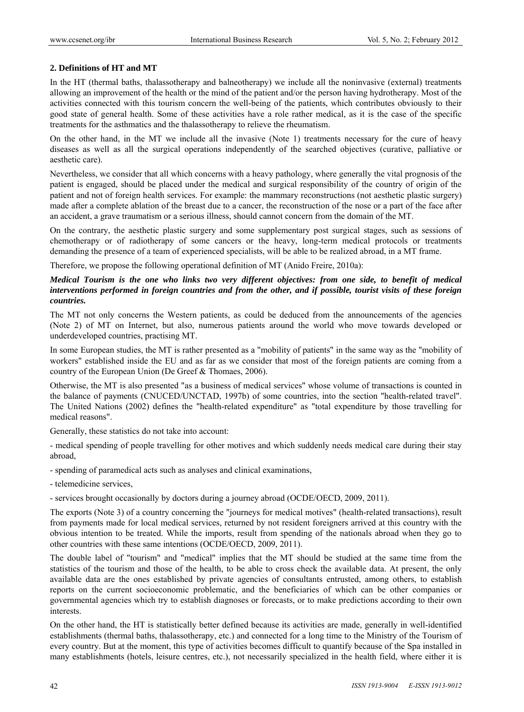### **2. Definitions of HT and MT**

In the HT (thermal baths, thalassotherapy and balneotherapy) we include all the noninvasive (external) treatments allowing an improvement of the health or the mind of the patient and/or the person having hydrotherapy. Most of the activities connected with this tourism concern the well-being of the patients, which contributes obviously to their good state of general health. Some of these activities have a role rather medical, as it is the case of the specific treatments for the asthmatics and the thalassotherapy to relieve the rheumatism.

On the other hand, in the MT we include all the invasive (Note 1) treatments necessary for the cure of heavy diseases as well as all the surgical operations independently of the searched objectives (curative, palliative or aesthetic care).

Nevertheless, we consider that all which concerns with a heavy pathology, where generally the vital prognosis of the patient is engaged, should be placed under the medical and surgical responsibility of the country of origin of the patient and not of foreign health services. For example: the mammary reconstructions (not aesthetic plastic surgery) made after a complete ablation of the breast due to a cancer, the reconstruction of the nose or a part of the face after an accident, a grave traumatism or a serious illness, should cannot concern from the domain of the MT.

On the contrary, the aesthetic plastic surgery and some supplementary post surgical stages, such as sessions of chemotherapy or of radiotherapy of some cancers or the heavy, long-term medical protocols or treatments demanding the presence of a team of experienced specialists, will be able to be realized abroad, in a MT frame.

Therefore, we propose the following operational definition of MT (Anido Freire, 2010a):

## *Medical Tourism is the one who links two very different objectives: from one side, to benefit of medical interventions performed in foreign countries and from the other, and if possible, tourist visits of these foreign countries.*

The MT not only concerns the Western patients, as could be deduced from the announcements of the agencies (Note 2) of MT on Internet, but also, numerous patients around the world who move towards developed or underdeveloped countries, practising MT.

In some European studies, the MT is rather presented as a "mobility of patients" in the same way as the "mobility of workers" established inside the EU and as far as we consider that most of the foreign patients are coming from a country of the European Union (De Greef & Thomaes, 2006).

Otherwise, the MT is also presented "as a business of medical services" whose volume of transactions is counted in the balance of payments (CNUCED/UNCTAD, 1997b) of some countries, into the section "health-related travel". The United Nations (2002) defines the "health-related expenditure" as "total expenditure by those travelling for medical reasons".

Generally, these statistics do not take into account:

- medical spending of people travelling for other motives and which suddenly needs medical care during their stay abroad,

- spending of paramedical acts such as analyses and clinical examinations,
- telemedicine services,

- services brought occasionally by doctors during a journey abroad (OCDE/OECD, 2009, 2011).

The exports (Note 3) of a country concerning the "journeys for medical motives" (health-related transactions), result from payments made for local medical services, returned by not resident foreigners arrived at this country with the obvious intention to be treated. While the imports, result from spending of the nationals abroad when they go to other countries with these same intentions (OCDE/OECD, 2009, 2011).

The double label of "tourism" and "medical" implies that the MT should be studied at the same time from the statistics of the tourism and those of the health, to be able to cross check the available data. At present, the only available data are the ones established by private agencies of consultants entrusted, among others, to establish reports on the current socioeconomic problematic, and the beneficiaries of which can be other companies or governmental agencies which try to establish diagnoses or forecasts, or to make predictions according to their own interests.

On the other hand, the HT is statistically better defined because its activities are made, generally in well-identified establishments (thermal baths, thalassotherapy, etc.) and connected for a long time to the Ministry of the Tourism of every country. But at the moment, this type of activities becomes difficult to quantify because of the Spa installed in many establishments (hotels, leisure centres, etc.), not necessarily specialized in the health field, where either it is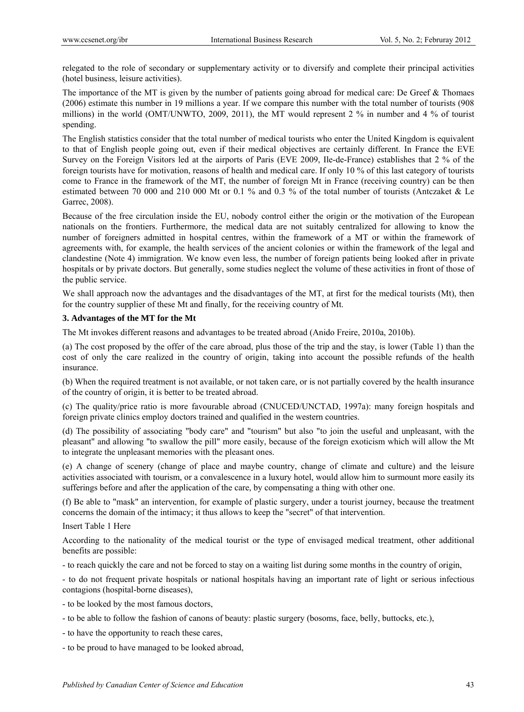relegated to the role of secondary or supplementary activity or to diversify and complete their principal activities (hotel business, leisure activities).

The importance of the MT is given by the number of patients going abroad for medical care: De Greef & Thomaes (2006) estimate this number in 19 millions a year. If we compare this number with the total number of tourists (908 millions) in the world (OMT/UNWTO, 2009, 2011), the MT would represent 2 % in number and 4 % of tourist spending.

The English statistics consider that the total number of medical tourists who enter the United Kingdom is equivalent to that of English people going out, even if their medical objectives are certainly different. In France the EVE Survey on the Foreign Visitors led at the airports of Paris (EVE 2009, Ile-de-France) establishes that 2 % of the foreign tourists have for motivation, reasons of health and medical care. If only 10 % of this last category of tourists come to France in the framework of the MT, the number of foreign Mt in France (receiving country) can be then estimated between 70 000 and 210 000 Mt or 0.1 % and 0.3 % of the total number of tourists (Antczaket & Le Garrec, 2008).

Because of the free circulation inside the EU, nobody control either the origin or the motivation of the European nationals on the frontiers. Furthermore, the medical data are not suitably centralized for allowing to know the number of foreigners admitted in hospital centres, within the framework of a MT or within the framework of agreements with, for example, the health services of the ancient colonies or within the framework of the legal and clandestine (Note 4) immigration. We know even less, the number of foreign patients being looked after in private hospitals or by private doctors. But generally, some studies neglect the volume of these activities in front of those of the public service.

We shall approach now the advantages and the disadvantages of the MT, at first for the medical tourists (Mt), then for the country supplier of these Mt and finally, for the receiving country of Mt.

### **3. Advantages of the MT for the Mt**

The Mt invokes different reasons and advantages to be treated abroad (Anido Freire, 2010a, 2010b).

(a) The cost proposed by the offer of the care abroad, plus those of the trip and the stay, is lower (Table 1) than the cost of only the care realized in the country of origin, taking into account the possible refunds of the health insurance.

(b) When the required treatment is not available, or not taken care, or is not partially covered by the health insurance of the country of origin, it is better to be treated abroad.

(c) The quality/price ratio is more favourable abroad (CNUCED/UNCTAD, 1997a): many foreign hospitals and foreign private clinics employ doctors trained and qualified in the western countries.

(d) The possibility of associating "body care" and "tourism" but also "to join the useful and unpleasant, with the pleasant" and allowing "to swallow the pill" more easily, because of the foreign exoticism which will allow the Mt to integrate the unpleasant memories with the pleasant ones.

(e) A change of scenery (change of place and maybe country, change of climate and culture) and the leisure activities associated with tourism, or a convalescence in a luxury hotel, would allow him to surmount more easily its sufferings before and after the application of the care, by compensating a thing with other one.

(f) Be able to "mask" an intervention, for example of plastic surgery, under a tourist journey, because the treatment concerns the domain of the intimacy; it thus allows to keep the "secret" of that intervention.

Insert Table 1 Here

According to the nationality of the medical tourist or the type of envisaged medical treatment, other additional benefits are possible:

- to reach quickly the care and not be forced to stay on a waiting list during some months in the country of origin,

- to do not frequent private hospitals or national hospitals having an important rate of light or serious infectious contagions (hospital-borne diseases),

- to be looked by the most famous doctors,
- to be able to follow the fashion of canons of beauty: plastic surgery (bosoms, face, belly, buttocks, etc.),
- to have the opportunity to reach these cares,
- to be proud to have managed to be looked abroad,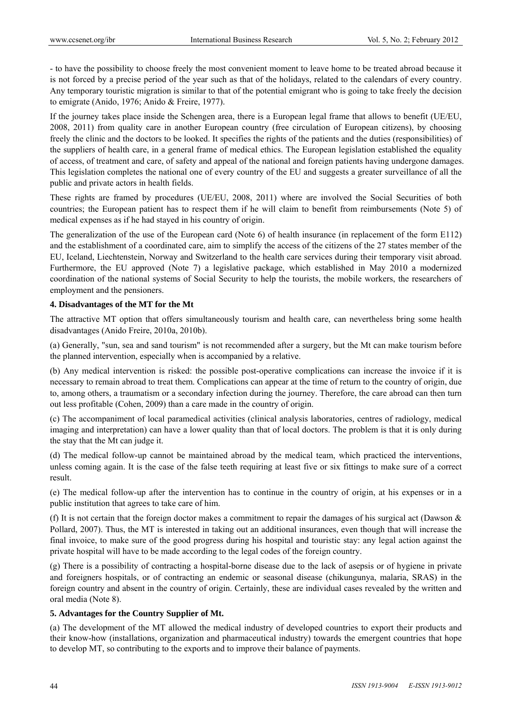- to have the possibility to choose freely the most convenient moment to leave home to be treated abroad because it is not forced by a precise period of the year such as that of the holidays, related to the calendars of every country. Any temporary touristic migration is similar to that of the potential emigrant who is going to take freely the decision to emigrate (Anido, 1976; Anido & Freire, 1977).

If the journey takes place inside the Schengen area, there is a European legal frame that allows to benefit (UE/EU, 2008, 2011) from quality care in another European country (free circulation of European citizens), by choosing freely the clinic and the doctors to be looked. It specifies the rights of the patients and the duties (responsibilities) of the suppliers of health care, in a general frame of medical ethics. The European legislation established the equality of access, of treatment and care, of safety and appeal of the national and foreign patients having undergone damages. This legislation completes the national one of every country of the EU and suggests a greater surveillance of all the public and private actors in health fields.

These rights are framed by procedures (UE/EU, 2008, 2011) where are involved the Social Securities of both countries; the European patient has to respect them if he will claim to benefit from reimbursements (Note 5) of medical expenses as if he had stayed in his country of origin.

The generalization of the use of the European card (Note 6) of health insurance (in replacement of the form E112) and the establishment of a coordinated care, aim to simplify the access of the citizens of the 27 states member of the EU, Iceland, Liechtenstein, Norway and Switzerland to the health care services during their temporary visit abroad. Furthermore, the EU approved (Note 7) a legislative package, which established in May 2010 a modernized coordination of the national systems of Social Security to help the tourists, the mobile workers, the researchers of employment and the pensioners.

### **4. Disadvantages of the MT for the Mt**

The attractive MT option that offers simultaneously tourism and health care, can nevertheless bring some health disadvantages (Anido Freire, 2010a, 2010b).

(a) Generally, "sun, sea and sand tourism" is not recommended after a surgery, but the Mt can make tourism before the planned intervention, especially when is accompanied by a relative.

(b) Any medical intervention is risked: the possible post-operative complications can increase the invoice if it is necessary to remain abroad to treat them. Complications can appear at the time of return to the country of origin, due to, among others, a traumatism or a secondary infection during the journey. Therefore, the care abroad can then turn out less profitable (Cohen, 2009) than a care made in the country of origin.

(c) The accompaniment of local paramedical activities (clinical analysis laboratories, centres of radiology, medical imaging and interpretation) can have a lower quality than that of local doctors. The problem is that it is only during the stay that the Mt can judge it.

(d) The medical follow-up cannot be maintained abroad by the medical team, which practiced the interventions, unless coming again. It is the case of the false teeth requiring at least five or six fittings to make sure of a correct result.

(e) The medical follow-up after the intervention has to continue in the country of origin, at his expenses or in a public institution that agrees to take care of him.

(f) It is not certain that the foreign doctor makes a commitment to repair the damages of his surgical act (Dawson  $\&$ Pollard, 2007). Thus, the MT is interested in taking out an additional insurances, even though that will increase the final invoice, to make sure of the good progress during his hospital and touristic stay: any legal action against the private hospital will have to be made according to the legal codes of the foreign country.

(g) There is a possibility of contracting a hospital-borne disease due to the lack of asepsis or of hygiene in private and foreigners hospitals, or of contracting an endemic or seasonal disease (chikungunya, malaria, SRAS) in the foreign country and absent in the country of origin. Certainly, these are individual cases revealed by the written and oral media (Note 8).

### **5. Advantages for the Country Supplier of Mt.**

(a) The development of the MT allowed the medical industry of developed countries to export their products and their know-how (installations, organization and pharmaceutical industry) towards the emergent countries that hope to develop MT, so contributing to the exports and to improve their balance of payments.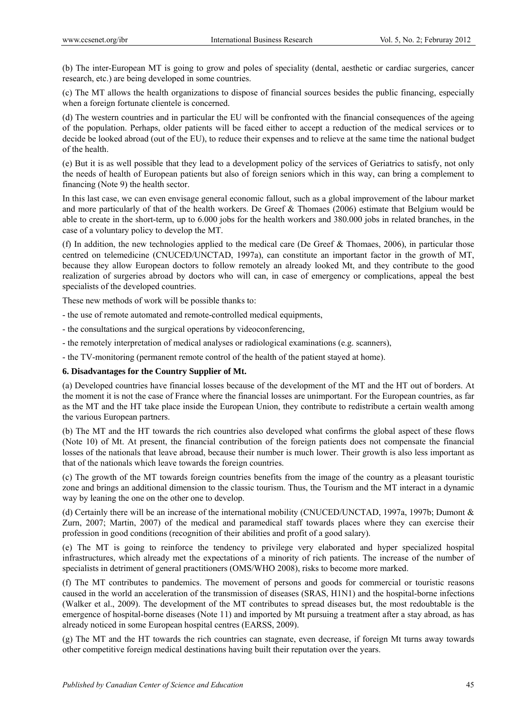(b) The inter-European MT is going to grow and poles of speciality (dental, aesthetic or cardiac surgeries, cancer research, etc.) are being developed in some countries.

(c) The MT allows the health organizations to dispose of financial sources besides the public financing, especially when a foreign fortunate clientele is concerned.

(d) The western countries and in particular the EU will be confronted with the financial consequences of the ageing of the population. Perhaps, older patients will be faced either to accept a reduction of the medical services or to decide be looked abroad (out of the EU), to reduce their expenses and to relieve at the same time the national budget of the health.

(e) But it is as well possible that they lead to a development policy of the services of Geriatrics to satisfy, not only the needs of health of European patients but also of foreign seniors which in this way, can bring a complement to financing (Note 9) the health sector.

In this last case, we can even envisage general economic fallout, such as a global improvement of the labour market and more particularly of that of the health workers. De Greef & Thomaes (2006) estimate that Belgium would be able to create in the short-term, up to 6.000 jobs for the health workers and 380.000 jobs in related branches, in the case of a voluntary policy to develop the MT.

(f) In addition, the new technologies applied to the medical care (De Greef & Thomaes, 2006), in particular those centred on telemedicine (CNUCED/UNCTAD, 1997a), can constitute an important factor in the growth of MT, because they allow European doctors to follow remotely an already looked Mt, and they contribute to the good realization of surgeries abroad by doctors who will can, in case of emergency or complications, appeal the best specialists of the developed countries.

These new methods of work will be possible thanks to:

- the use of remote automated and remote-controlled medical equipments,
- the consultations and the surgical operations by videoconferencing,
- the remotely interpretation of medical analyses or radiological examinations (e.g. scanners),
- the TV-monitoring (permanent remote control of the health of the patient stayed at home).

### **6. Disadvantages for the Country Supplier of Mt.**

(a) Developed countries have financial losses because of the development of the MT and the HT out of borders. At the moment it is not the case of France where the financial losses are unimportant. For the European countries, as far as the MT and the HT take place inside the European Union, they contribute to redistribute a certain wealth among the various European partners.

(b) The MT and the HT towards the rich countries also developed what confirms the global aspect of these flows (Note 10) of Mt. At present, the financial contribution of the foreign patients does not compensate the financial losses of the nationals that leave abroad, because their number is much lower. Their growth is also less important as that of the nationals which leave towards the foreign countries.

(c) The growth of the MT towards foreign countries benefits from the image of the country as a pleasant touristic zone and brings an additional dimension to the classic tourism. Thus, the Tourism and the MT interact in a dynamic way by leaning the one on the other one to develop.

(d) Certainly there will be an increase of the international mobility (CNUCED/UNCTAD, 1997a, 1997b; Dumont & Zurn, 2007; Martin, 2007) of the medical and paramedical staff towards places where they can exercise their profession in good conditions (recognition of their abilities and profit of a good salary).

(e) The MT is going to reinforce the tendency to privilege very elaborated and hyper specialized hospital infrastructures, which already met the expectations of a minority of rich patients. The increase of the number of specialists in detriment of general practitioners (OMS/WHO 2008), risks to become more marked.

(f) The MT contributes to pandemics. The movement of persons and goods for commercial or touristic reasons caused in the world an acceleration of the transmission of diseases (SRAS, H1N1) and the hospital-borne infections (Walker et al., 2009). The development of the MT contributes to spread diseases but, the most redoubtable is the emergence of hospital-borne diseases (Note 11) and imported by Mt pursuing a treatment after a stay abroad, as has already noticed in some European hospital centres (EARSS, 2009).

(g) The MT and the HT towards the rich countries can stagnate, even decrease, if foreign Mt turns away towards other competitive foreign medical destinations having built their reputation over the years.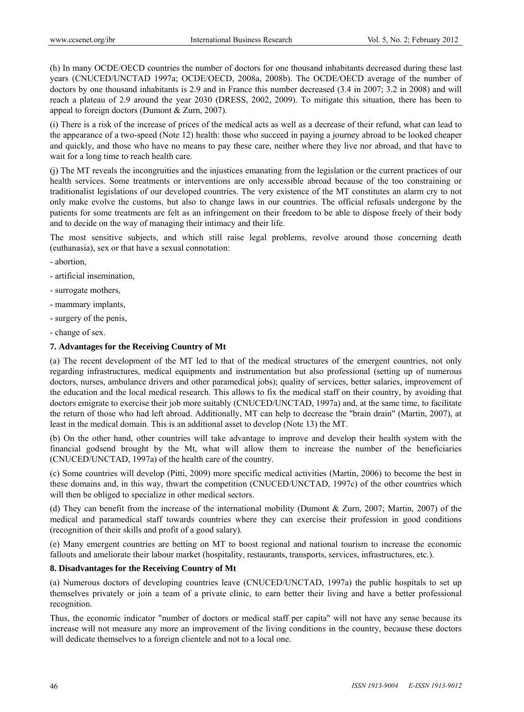(h) In many OCDE/OECD countries the number of doctors for one thousand inhabitants decreased during these last years (CNUCED/UNCTAD 1997a; OCDE/OECD, 2008a, 2008b). The OCDE/OECD average of the number of doctors by one thousand inhabitants is 2.9 and in France this number decreased (3.4 in 2007; 3.2 in 2008) and will reach a plateau of 2.9 around the year 2030 (DRESS, 2002, 2009). To mitigate this situation, there has been to appeal to foreign doctors (Dumont & Zurn, 2007).

(i) There is a risk of the increase of prices of the medical acts as well as a decrease of their refund, what can lead to the appearance of a two-speed (Note 12) health: those who succeed in paying a journey abroad to be looked cheaper and quickly, and those who have no means to pay these care, neither where they live nor abroad, and that have to wait for a long time to reach health care.

(j) The MT reveals the incongruities and the injustices emanating from the legislation or the current practices of our health services. Some treatments or interventions are only accessible abroad because of the too constraining or traditionalist legislations of our developed countries. The very existence of the MT constitutes an alarm cry to not only make evolve the customs, but also to change laws in our countries. The official refusals undergone by the patients for some treatments are felt as an infringement on their freedom to be able to dispose freely of their body and to decide on the way of managing their intimacy and their life.

The most sensitive subjects, and which still raise legal problems, revolve around those concerning death (euthanasia), sex or that have a sexual connotation:

- abortion,
- artificial insemination,
- surrogate mothers,
- mammary implants,
- surgery of the penis,
- change of sex.

## **7. Advantages for the Receiving Country of Mt**

(a) The recent development of the MT led to that of the medical structures of the emergent countries, not only regarding infrastructures, medical equipments and instrumentation but also professional (setting up of numerous doctors, nurses, ambulance drivers and other paramedical jobs); quality of services, better salaries, improvement of the education and the local medical research. This allows to fix the medical staff on their country, by avoiding that doctors emigrate to exercise their job more suitably (CNUCED/UNCTAD, 1997a) and, at the same time, to facilitate the return of those who had left abroad. Additionally, MT can help to decrease the "brain drain" (Martin, 2007), at least in the medical domain. This is an additional asset to develop (Note 13) the MT.

(b) On the other hand, other countries will take advantage to improve and develop their health system with the financial godsend brought by the Mt, what will allow them to increase the number of the beneficiaries (CNUCED/UNCTAD, 1997a) of the health care of the country.

(c) Some countries will develop (Pitti, 2009) more specific medical activities (Martin, 2006) to become the best in these domains and, in this way, thwart the competition (CNUCED/UNCTAD, 1997c) of the other countries which will then be obliged to specialize in other medical sectors.

(d) They can benefit from the increase of the international mobility (Dumont & Zurn, 2007; Martin, 2007) of the medical and paramedical staff towards countries where they can exercise their profession in good conditions (recognition of their skills and profit of a good salary).

(e) Many emergent countries are betting on MT to boost regional and national tourism to increase the economic fallouts and ameliorate their labour market (hospitality, restaurants, transports, services, infrastructures, etc.).

### **8. Disadvantages for the Receiving Country of Mt**

(a) Numerous doctors of developing countries leave (CNUCED/UNCTAD, 1997a) the public hospitals to set up themselves privately or join a team of a private clinic, to earn better their living and have a better professional recognition.

Thus, the economic indicator "number of doctors or medical staff per capita" will not have any sense because its increase will not measure any more an improvement of the living conditions in the country, because these doctors will dedicate themselves to a foreign clientele and not to a local one.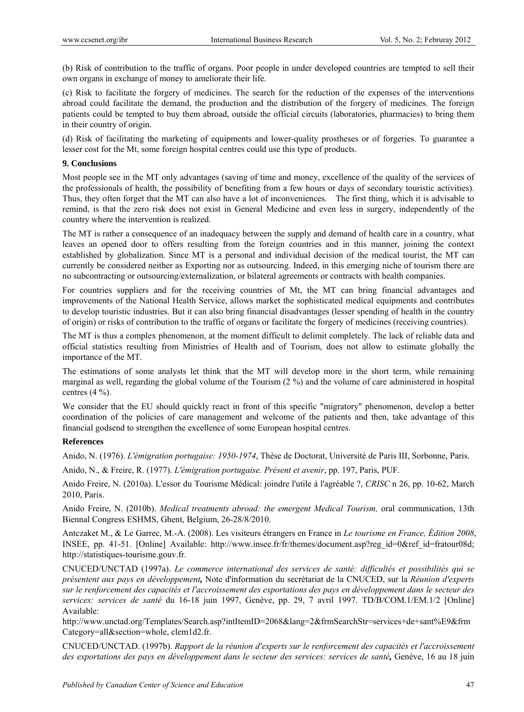(b) Risk of contribution to the traffic of organs. Poor people in under developed countries are tempted to sell their own organs in exchange of money to ameliorate their life.

(c) Risk to facilitate the forgery of medicines. The search for the reduction of the expenses of the interventions abroad could facilitate the demand, the production and the distribution of the forgery of medicines. The foreign patients could be tempted to buy them abroad, outside the official circuits (laboratories, pharmacies) to bring them in their country of origin.

(d) Risk of facilitating the marketing of equipments and lower-quality prostheses or of forgeries. To guarantee a lesser cost for the Mt, some foreign hospital centres could use this type of products.

## **9. Conclusions**

Most people see in the MT only advantages (saving of time and money, excellence of the quality of the services of the professionals of health, the possibility of benefiting from a few hours or days of secondary touristic activities). Thus, they often forget that the MT can also have a lot of inconveniences. The first thing, which it is advisable to remind, is that the zero risk does not exist in General Medicine and even less in surgery, independently of the country where the intervention is realized.

The MT is rather a consequence of an inadequacy between the supply and demand of health care in a country, what leaves an opened door to offers resulting from the foreign countries and in this manner, joining the context established by globalization. Since MT is a personal and individual decision of the medical tourist, the MT can currently be considered neither as Exporting nor as outsourcing. Indeed, in this emerging niche of tourism there are no subcontracting or outsourcing/externalization, or bilateral agreements or contracts with health companies.

For countries suppliers and for the receiving countries of Mt, the MT can bring financial advantages and improvements of the National Health Service, allows market the sophisticated medical equipments and contributes to develop touristic industries. But it can also bring financial disadvantages (lesser spending of health in the country of origin) or risks of contribution to the traffic of organs or facilitate the forgery of medicines (receiving countries).

The MT is thus a complex phenomenon, at the moment difficult to delimit completely. The lack of reliable data and official statistics resulting from Ministries of Health and of Tourism, does not allow to estimate globally the importance of the MT.

The estimations of some analysts let think that the MT will develop more in the short term, while remaining marginal as well, regarding the global volume of the Tourism (2 %) and the volume of care administered in hospital centres  $(4\%).$ 

We consider that the EU should quickly react in front of this specific "migratory" phenomenon, develop a better coordination of the policies of care management and welcome of the patients and then, take advantage of this financial godsend to strengthen the excellence of some European hospital centres.

## **References**

Anido, N. (1976). *L'émigration portugaise: 1950-1974*, Thèse de Doctorat, Université de Paris III, Sorbonne, Paris.

Anido, N., & Freire, R. (1977). *L'émigration portugaise. Présent et avenir*, pp. 197, Paris, PUF.

Anido Freire, N. (2010a). L'essor du Tourisme Médical: joindre l'utile à l'agréable ?, *CRISC* n 26, pp. 10-62, March 2010, Paris.

Anido Freire, N. (2010b). *Medical treatments abroad: the emergent Medical Tourism,* oral communication, 13th Biennal Congress ESHMS, Ghent, Belgium, 26-28/8/2010.

Antczaket M., & Le Garrec, M.-A. (2008). Les visiteurs étrangers en France in *Le tourisme en France, Édition 2008*, INSEE, pp. 41-51. [Online] Available: http://www.insee.fr/fr/themes/document.asp?reg\_id=0&ref\_id=fratour08d; http://statistiques-tourisme.gouv.fr.

CNUCED/UNCTAD (1997a). *Le commerce international des services de santé: difficultés et possibilités qui se présentent aux pays en développement,* Note d'information du secrétariat de la CNUCED, sur la *Réunion d'experts sur le renforcement des capacités et l'accroissement des exportations des pays en développement dans le secteur des services: services de santé* du 16-18 juin 1997, Genève, pp. 29, 7 avril 1997. TD/B/COM.1/EM.1/2 [Online] Available:

http://www.unctad.org/Templates/Search.asp?intItemID=2068&lang=2&frmSearchStr=services+de+sant%E9&frm Category=all&section=whole, clem1d2.fr.

CNUCED/UNCTAD. (1997b). *Rapport de la réunion d'experts sur le renforcement des capacités et l'accroissement des exportations des pays en développement dans le secteur des services: services de santé,* Genève, 16 au 18 juin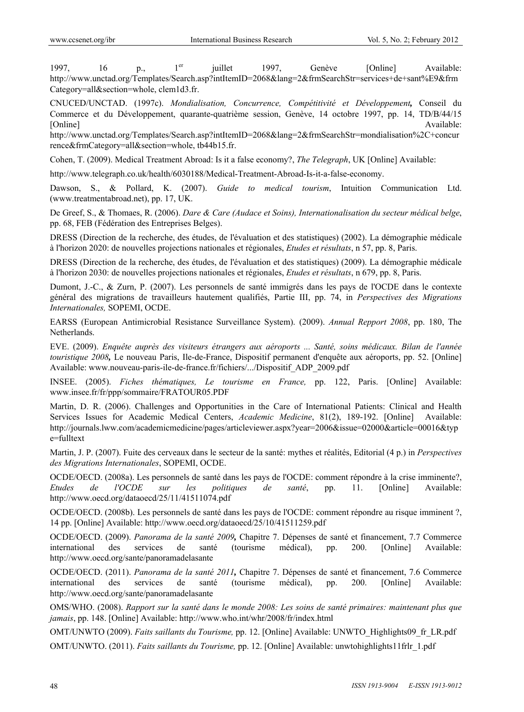1997, 16 p., 1<sup>er</sup> juillet 1997, Genève [Online] Available: http://www.unctad.org/Templates/Search.asp?intItemID=2068&lang=2&frmSearchStr=services+de+sant%E9&frm Category=all&section=whole, clem1d3.fr.

CNUCED/UNCTAD. (1997c). *Mondialisation, Concurrence, Compétitivité et Développement,* Conseil du Commerce et du Développement, quarante-quatrième session, Genève, 14 octobre 1997, pp. 14, TD/B/44/15 [Online] Available: Available:

http://www.unctad.org/Templates/Search.asp?intItemID=2068&lang=2&frmSearchStr=mondialisation%2C+concur rence&frmCategory=all&section=whole, tb44b15.fr.

Cohen, T. (2009). Medical Treatment Abroad: Is it a false economy?, *The Telegraph*, UK [Online] Available:

http://www.telegraph.co.uk/health/6030188/Medical-Treatment-Abroad-Is-it-a-false-economy.

Dawson, S., & Pollard, K. (2007). *Guide to medical tourism*, Intuition Communication Ltd. (www.treatmentabroad.net), pp. 17, UK.

De Greef, S., & Thomaes, R. (2006). *Dare & Care (Audace et Soins), Internationalisation du secteur médical belge*, pp. 68, FEB (Fédération des Entreprises Belges).

DRESS (Direction de la recherche, des études, de l'évaluation et des statistiques) (2002). La démographie médicale à l'horizon 2020: de nouvelles projections nationales et régionales, *Etudes et résultats*, n 57, pp. 8, Paris.

DRESS (Direction de la recherche, des études, de l'évaluation et des statistiques) (2009). La démographie médicale à l'horizon 2030: de nouvelles projections nationales et régionales, *Etudes et résultats*, n 679, pp. 8, Paris.

Dumont, J.-C., & Zurn, P. (2007). Les personnels de santé immigrés dans les pays de l'OCDE dans le contexte général des migrations de travailleurs hautement qualifiés, Partie III, pp. 74, in *Perspectives des Migrations Internationales,* SOPEMI, OCDE.

EARSS (European Antimicrobial Resistance Surveillance System). (2009). *Annual Repport 2008*, pp. 180, The Netherlands.

EVE. (2009). *Enquête auprès des visiteurs étrangers aux aéroports ... Santé, soins médicaux. Bilan de l'année touristique 2008,* Le nouveau Paris, Ile-de-France, Dispositif permanent d'enquête aux aéroports, pp. 52. [Online] Available: www.nouveau-paris-ile-de-france.fr/fichiers/.../Dispositif\_ADP\_2009.pdf

INSEE. (2005). *Fiches thématiques, Le tourisme en France,* pp. 122, Paris. [Online] Available: www.insee.fr/fr/ppp/sommaire/FRATOUR05.PDF

Martin, D. R. (2006). Challenges and Opportunities in the Care of International Patients: Clinical and Health Services Issues for Academic Medical Centers, *Academic Medicine*, 81(2), 189-192. [Online] Available: http://journals.lww.com/academicmedicine/pages/articleviewer.aspx?year=2006&issue=02000&article=00016&typ e=fulltext

Martin, J. P. (2007). Fuite des cerveaux dans le secteur de la santé: mythes et réalités, Editorial (4 p.) in *Perspectives des Migrations Internationales*, SOPEMI, OCDE.

OCDE/OECD. (2008a). Les personnels de santé dans les pays de l'OCDE: comment répondre à la crise imminente?, *Etudes de l'OCDE sur les politiques de santé*, pp. 11. [Online] Available: http://www.oecd.org/dataoecd/25/11/41511074.pdf

OCDE/OECD. (2008b). Les personnels de santé dans les pays de l'OCDE: comment répondre au risque imminent ?, 14 pp. [Online] Available: http://www.oecd.org/dataoecd/25/10/41511259.pdf

OCDE/OECD. (2009). *Panorama de la santé 2009,* Chapitre 7. Dépenses de santé et financement, 7.7 Commerce international des services de santé (tourisme médical), pp. 200. [Online] Available: http://www.oecd.org/sante/panoramadelasante

OCDE/OECD. (2011). *Panorama de la santé 2011,* Chapitre 7. Dépenses de santé et financement, 7.6 Commerce international des services de santé (tourisme médical), pp. 200. [Online] Available: http://www.oecd.org/sante/panoramadelasante

OMS/WHO. (2008). *Rapport sur la santé dans le monde 2008: Les soins de santé primaires: maintenant plus que jamais*, pp. 148. [Online] Available: http://www.who.int/whr/2008/fr/index.html

OMT/UNWTO (2009). *Faits saillants du Tourisme,* pp. 12. [Online] Available: UNWTO\_Highlights09\_fr\_LR.pdf

OMT/UNWTO. (2011). *Faits saillants du Tourisme,* pp. 12. [Online] Available: unwtohighlights11frlr\_1.pdf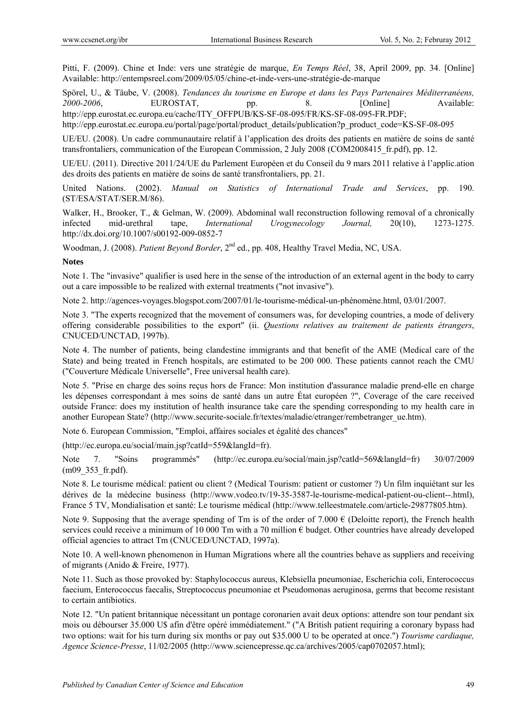Pitti, F. (2009). Chine et Inde: vers une stratégie de marque, *En Temps Réel*, 38, April 2009, pp. 34. [Online] Available: http://entempsreel.com/2009/05/05/chine-et-inde-vers-une-stratégie-de-marque

Spörel, U., & Täube, V. (2008). *Tendances du tourisme en Europe et dans les Pays Partenaires Méditerranéens,*  2000-2006, EUROSTAT, pp. 8. [Online] Available:

http://epp.eurostat.ec.europa.eu/cache/ITY\_OFFPUB/KS-SF-08-095/FR/KS-SF-08-095-FR.PDF; http://epp.eurostat.ec.europa.eu/portal/page/portal/product\_details/publication?p\_product\_code=KS-SF-08-095

UE/EU. (2008). Un cadre communautaire relatif à l'application des droits des patients en matière de soins de santé transfrontaliers, communication of the European Commission, 2 July 2008 (COM2008415\_fr.pdf), pp. 12.

UE/EU. (2011). Directive 2011/24/UE du Parlement Européen et du Conseil du 9 mars 2011 relative à l'applic.ation des droits des patients en matière de soins de santé transfrontaliers, pp. 21.

United Nations. (2002). *Manual on Statistics of International Trade and Services*, pp. 190. (ST/ESA/STAT/SER.M/86).

Walker, H., Brooker, T., & Gelman, W. (2009). Abdominal wall reconstruction following removal of a chronically infected mid-urethral tape, *International Urogynecology Journal,* 20(10), 1273-1275. http://dx.doi.org/10.1007/s00192-009-0852-7

Woodman, J. (2008). *Patient Beyond Border*, 2<sup>nd</sup> ed., pp. 408, Healthy Travel Media, NC, USA.

#### **Notes**

Note 1. The "invasive" qualifier is used here in the sense of the introduction of an external agent in the body to carry out a care impossible to be realized with external treatments ("not invasive").

Note 2. http://agences-voyages.blogspot.com/2007/01/le-tourisme-médical-un-phénomène.html, 03/01/2007.

Note 3. "The experts recognized that the movement of consumers was, for developing countries, a mode of delivery offering considerable possibilities to the export" (ii. *Questions relatives au traitement de patients étrangers*, CNUCED/UNCTAD, 1997b).

Note 4. The number of patients, being clandestine immigrants and that benefit of the AME (Medical care of the State) and being treated in French hospitals, are estimated to be 200 000. These patients cannot reach the CMU ("Couverture Médicale Universelle", Free universal health care).

Note 5. "Prise en charge des soins reçus hors de France: Mon institution d'assurance maladie prend-elle en charge les dépenses correspondant à mes soins de santé dans un autre État européen ?", Coverage of the care received outside France: does my institution of health insurance take care the spending corresponding to my health care in another European State? (http://www.securite-sociale.fr/textes/maladie/etranger/rembetranger\_ue.htm).

Note 6. European Commission, "Emploi, affaires sociales et égalité des chances"

(http://ec.europa.eu/social/main.jsp?catId=559&langId=fr).

Note 7. "Soins programmés" (http://ec.europa.eu/social/main.jsp?catld=569&langld=fr) 30/07/2009 (m09\_353\_fr.pdf).

Note 8. Le tourisme médical: patient ou client ? (Medical Tourism: patient or customer ?) Un film inquiétant sur les dérives de la médecine business (http://www.vodeo.tv/19-35-3587-le-tourisme-medical-patient-ou-client--.html), France 5 TV, Mondialisation et santé: Le tourisme médical (http://www.telleestmatele.com/article-29877805.htm).

Note 9. Supposing that the average spending of Tm is of the order of 7.000  $\epsilon$  (Deloitte report), the French health services could receive a minimum of 10 000 Tm with a 70 million € budget. Other countries have already developed official agencies to attract Tm (CNUCED/UNCTAD, 1997a).

Note 10. A well-known phenomenon in Human Migrations where all the countries behave as suppliers and receiving of migrants (Anido & Freire, 1977).

Note 11. Such as those provoked by: Staphylococcus aureus, Klebsiella pneumoniae, Escherichia coli, Enterococcus faecium, Enterococcus faecalis, Streptococcus pneumoniae et Pseudomonas aeruginosa, germs that become resistant to certain antibiotics.

Note 12. "Un patient britannique nécessitant un pontage coronarien avait deux options: attendre son tour pendant six mois ou débourser 35.000 U\$ afin d'être opéré immédiatement." ("A British patient requiring a coronary bypass had two options: wait for his turn during six months or pay out \$35.000 U to be operated at once.") *Tourisme cardiaque, Agence Science-Presse*, 11/02/2005 (http://www.sciencepresse.qc.ca/archives/2005/cap0702057.html);